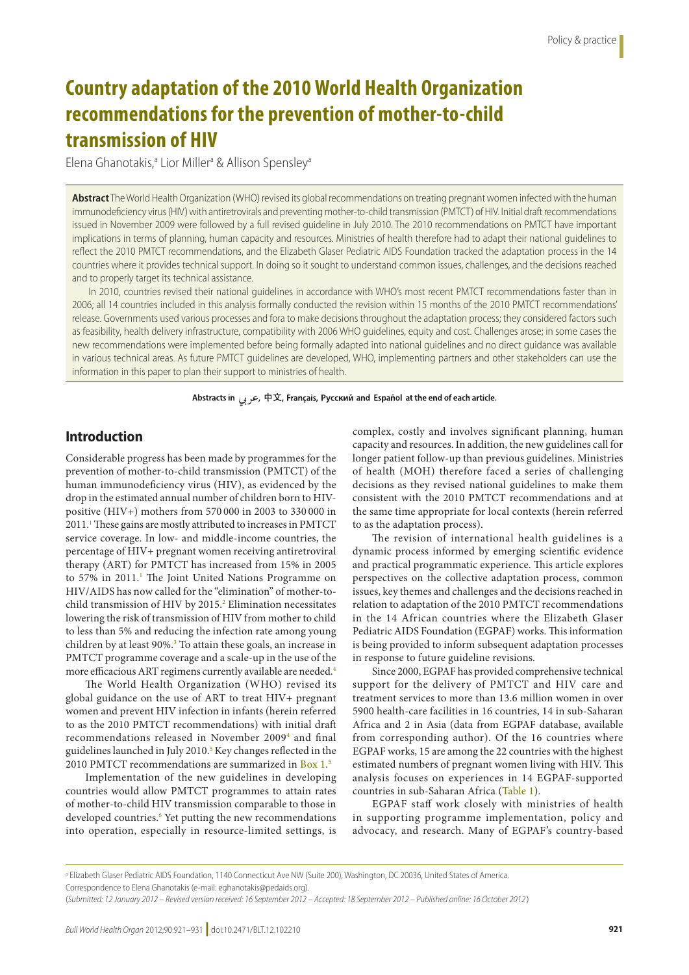# **Country adaptation of the 2010 World Health Organization recommendations for the prevention of mother-to-child transmission of HIV**

Elena Ghanotakis,<sup>a</sup> Lior Miller<sup>a</sup> & Allison Spensley<sup>a</sup>

**Abstract** The World Health Organization (WHO) revised its global recommendations on treating pregnant women infected with the human immunodeficiency virus (HIV) with antiretrovirals and preventing mother-to-child transmission (PMTCT) of HIV. Initial draft recommendations issued in November 2009 were followed by a full revised guideline in July 2010. The 2010 recommendations on PMTCT have important implications in terms of planning, human capacity and resources. Ministries of health therefore had to adapt their national guidelines to reflect the 2010 PMTCT recommendations, and the Elizabeth Glaser Pediatric AIDS Foundation tracked the adaptation process in the 14 countries where it provides technical support. In doing so it sought to understand common issues, challenges, and the decisions reached and to properly target its technical assistance.

In 2010, countries revised their national guidelines in accordance with WHO's most recent PMTCT recommendations faster than in 2006; all 14 countries included in this analysis formally conducted the revision within 15 months of the 2010 PMTCT recommendations' release. Governments used various processes and fora to make decisions throughout the adaptation process; they considered factors such as feasibility, health delivery infrastructure, compatibility with 2006 WHO guidelines, equity and cost. Challenges arose; in some cases the new recommendations were implemented before being formally adapted into national guidelines and no direct guidance was available in various technical areas. As future PMTCT guidelines are developed, WHO, implementing partners and other stakeholders can use the information in this paper to plan their support to ministries of health.

Abstracts in جرب, 中文, Français, Русский and Español at the end of each article.

# **Introduction**

Considerable progress has been made by programmes for the prevention of mother-to-child transmission (PMTCT) of the human immunodeficiency virus (HIV), as evidenced by the drop in the estimated annual number of children born to HIVpositive (HIV+) mothers from 570 000 in 2003 to 330 000 in 2011.<sup>1</sup> These gains are mostly attributed to increases in PMTCT service coverage. In low- and middle-income countries, the percentage of HIV+ pregnant women receiving antiretroviral therapy (ART) for PMTCT has increased from 15% in 2005 to 57% in 20[1](#page-9-0)1.<sup>1</sup> The Joint United Nations Programme on HIV/AIDS has now called for the "elimination" of mother-tochild transmission of HIV by 2015.<sup>2</sup> Elimination necessitates lowering the risk of transmission of HIV from mother to child to less than 5% and reducing the infection rate among young children by at least 90%.<sup>[3](#page-9-2)</sup> To attain these goals, an increase in PMTCT programme coverage and a scale-up in the use of the more efficacious ART regimens currently available are needed.<sup>[4](#page-9-3)</sup>

The World Health Organization (WHO) revised its global guidance on the use of ART to treat HIV+ pregnant women and prevent HIV infection in infants (herein referred to as the 2010 PMTCT recommendations) with initial draft recommendations released in November 2009<sup>[4](#page-9-3)</sup> and final guidelines launched in July 2010.<sup>5</sup> Key changes reflected in the 2010 PMTCT recommendations are summarized in [Box](#page-1-0) 1.<sup>[5](#page-9-4)</sup>

Implementation of the new guidelines in developing countries would allow PMTCT programmes to attain rates of mother-to-child HIV transmission comparable to those in developed countries.<sup>6</sup> Yet putting the new recommendations into operation, especially in resource-limited settings, is

complex, costly and involves significant planning, human capacity and resources. In addition, the new guidelines call for longer patient follow-up than previous guidelines. Ministries of health (MOH) therefore faced a series of challenging decisions as they revised national guidelines to make them consistent with the 2010 PMTCT recommendations and at the same time appropriate for local contexts (herein referred to as the adaptation process).

The revision of international health guidelines is a dynamic process informed by emerging scientific evidence and practical programmatic experience. This article explores perspectives on the collective adaptation process, common issues, key themes and challenges and the decisions reached in relation to adaptation of the 2010 PMTCT recommendations in the 14 African countries where the Elizabeth Glaser Pediatric AIDS Foundation (EGPAF) works. This information is being provided to inform subsequent adaptation processes in response to future guideline revisions.

Since 2000, EGPAF has provided comprehensive technical support for the delivery of PMTCT and HIV care and treatment services to more than 13.6 million women in over 5900 health-care facilities in 16 countries, 14 in sub-Saharan Africa and 2 in Asia (data from EGPAF database, available from corresponding author). Of the 16 countries where EGPAF works, 15 are among the 22 countries with the highest estimated numbers of pregnant women living with HIV. This analysis focuses on experiences in 14 EGPAF-supported countries in sub-Saharan Africa ([Table](#page-2-0) 1).

EGPAF staff work closely with ministries of health in supporting programme implementation, policy and advocacy, and research. Many of EGPAF's country-based

a Elizabeth Glaser Pediatric AIDS Foundation, 1140 Connecticut Ave NW (Suite 200), Washington, DC 20036, United States of America. Correspondence to Elena Ghanotakis (e-mail: eghanotakis@pedaids.org).

<sup>(</sup>*Submitted: 12 January 2012 – Revised version received: 16 September 2012 – Accepted: 18 September 2012 – Published online: 16 October 2012* )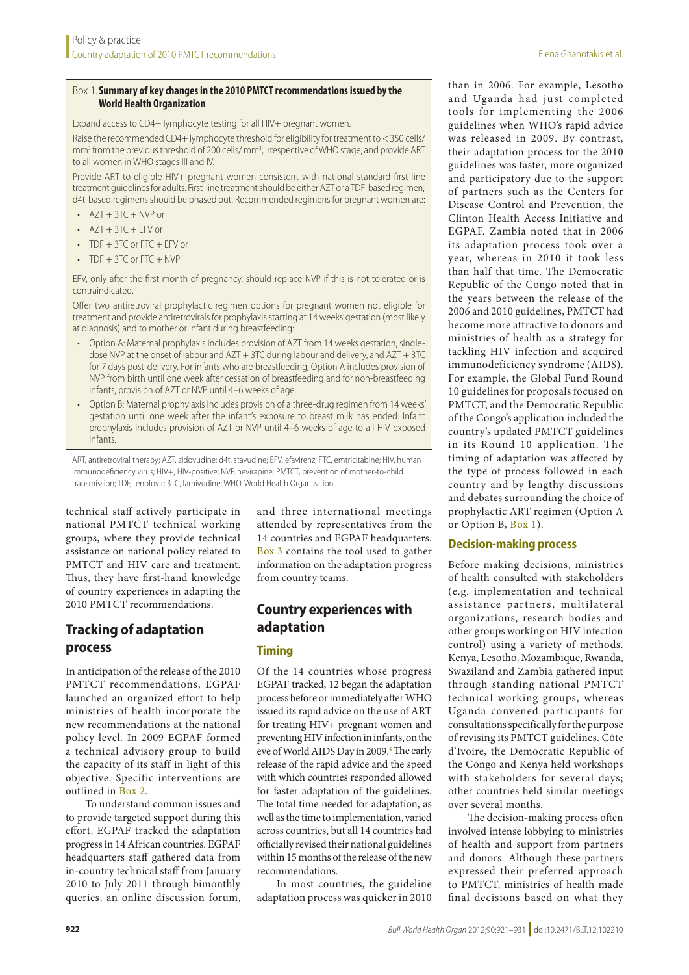#### <span id="page-1-0"></span>Box 1.**Summary of key changes in the 2010 PMTCT recommendations issued by the World Health Organization**

Expand access to CD4+ lymphocyte testing for all HIV+ pregnant women.

Raise the recommended CD4+ lymphocyte threshold for eligibility for treatment to <350 cells/ mm<sup>3</sup> from the previous threshold of 200 cells/ mm<sup>3</sup>, irrespective of WHO stage, and provide ART to all women in WHO stages III and IV.

Provide ART to eligible HIV+ pregnant women consistent with national standard first-line treatment guidelines for adults. First-line treatment should be either AZT or a TDF-based regimen; d4t-based regimens should be phased out. Recommended regimens for pregnant women are:

- $\cdot$  AZT + 3TC + NVP or
- $\cdot$  AZT + 3TC + EFV or
- $\cdot$  TDF  $+$  3TC or FTC  $+$  EFV or
- $\cdot$  TDF  $+$  3TC or FTC  $+$  NVP

EFV, only after the first month of pregnancy, should replace NVP if this is not tolerated or is contraindicated.

Offer two antiretroviral prophylactic regimen options for pregnant women not eligible for treatment and provide antiretrovirals for prophylaxis starting at 14 weeks' gestation (most likely at diagnosis) and to mother or infant during breastfeeding:

- Option A: Maternal prophylaxis includes provision of AZT from 14 weeks gestation, singledose NVP at the onset of labour and AZT + 3TC during labour and delivery, and AZT + 3TC for 7 days post-delivery. For infants who are breastfeeding, Option A includes provision of NVP from birth until one week after cessation of breastfeeding and for non-breastfeeding infants, provision of AZT or NVP until 4–6 weeks of age.
- • Option B: Maternal prophylaxis includes provision of a three-drug regimen from 14 weeks' gestation until one week after the infant's exposure to breast milk has ended. Infant prophylaxis includes provision of AZT or NVP until 4–6 weeks of age to all HIV-exposed infants.

ART, antiretroviral therapy; AZT, zidovudine; d4t, stavudine; EFV, efavirenz; FTC, emtricitabine; HIV, human immunodeficiency virus; HIV+, HIV-positive; NVP, nevirapine; PMTCT, prevention of mother-to-child transmission; TDF, tenofovir; 3TC, lamivudine; WHO, World Health Organization.

technical staff actively participate in national PMTCT technical working groups, where they provide technical assistance on national policy related to PMTCT and HIV care and treatment. Thus, they have first-hand knowledge of country experiences in adapting the 2010 PMTCT recommendations.

# **Tracking of adaptation process**

In anticipation of the release of the 2010 PMTCT recommendations, EGPAF launched an organized effort to help ministries of health incorporate the new recommendations at the national policy level. In 2009 EGPAF formed a technical advisory group to build the capacity of its staff in light of this objective. Specific interventions are outlined in [Box](#page-2-1) 2.

To understand common issues and to provide targeted support during this effort, EGPAF tracked the adaptation progress in 14 African countries. EGPAF headquarters staff gathered data from in-country technical staff from January 2010 to July 2011 through bimonthly queries, an online discussion forum, and three international meetings attended by representatives from the 14 countries and EGPAF headquarters. [Box](#page-3-0) 3 contains the tool used to gather information on the adaptation progress from country teams.

# **Country experiences with adaptation**

#### **Timing**

Of the 14 countries whose progress EGPAF tracked, 12 began the adaptation process before or immediately after WHO issued its rapid advice on the use of ART for treating HIV+ pregnant women and preventing HIV infection in infants, on the eve of World AIDS Day in 2009.<sup>4</sup> The early release of the rapid advice and the speed with which countries responded allowed for faster adaptation of the guidelines. The total time needed for adaptation, as well as the time to implementation, varied across countries, but all 14 countries had officially revised their national guidelines within 15 months of the release of the new recommendations.

In most countries, the guideline adaptation process was quicker in 2010

than in 2006. For example, Lesotho and Uganda had just completed tools for implementing the 2006 guidelines when WHO's rapid advice was released in 2009. By contrast, their adaptation process for the 2010 guidelines was faster, more organized and participatory due to the support of partners such as the Centers for Disease Control and Prevention, the Clinton Health Access Initiative and EGPAF. Zambia noted that in 2006 its adaptation process took over a year, whereas in 2010 it took less than half that time. The Democratic Republic of the Congo noted that in the years between the release of the 2006 and 2010 guidelines, PMTCT had become more attractive to donors and ministries of health as a strategy for tackling HIV infection and acquired immunodeficiency syndrome (AIDS). For example, the Global Fund Round 10 guidelines for proposals focused on PMTCT, and the Democratic Republic of the Congo's application included the country's updated PMTCT guidelines in its Round 10 application. The timing of adaptation was affected by the type of process followed in each country and by lengthy discussions and debates surrounding the choice of prophylactic ART regimen (Option A or Option B, [Box](#page-1-0) 1).

#### **Decision-making process**

Before making decisions, ministries of health consulted with stakeholders (e.g. implementation and technical assistance partners, multilateral organizations, research bodies and other groups working on HIV infection control) using a variety of methods. Kenya, Lesotho, Mozambique, Rwanda, Swaziland and Zambia gathered input through standing national PMTCT technical working groups, whereas Uganda convened participants for consultations specifically for the purpose of revising its PMTCT guidelines. Côte d'Ivoire, the Democratic Republic of the Congo and Kenya held workshops with stakeholders for several days; other countries held similar meetings over several months.

The decision-making process often involved intense lobbying to ministries of health and support from partners and donors. Although these partners expressed their preferred approach to PMTCT, ministries of health made final decisions based on what they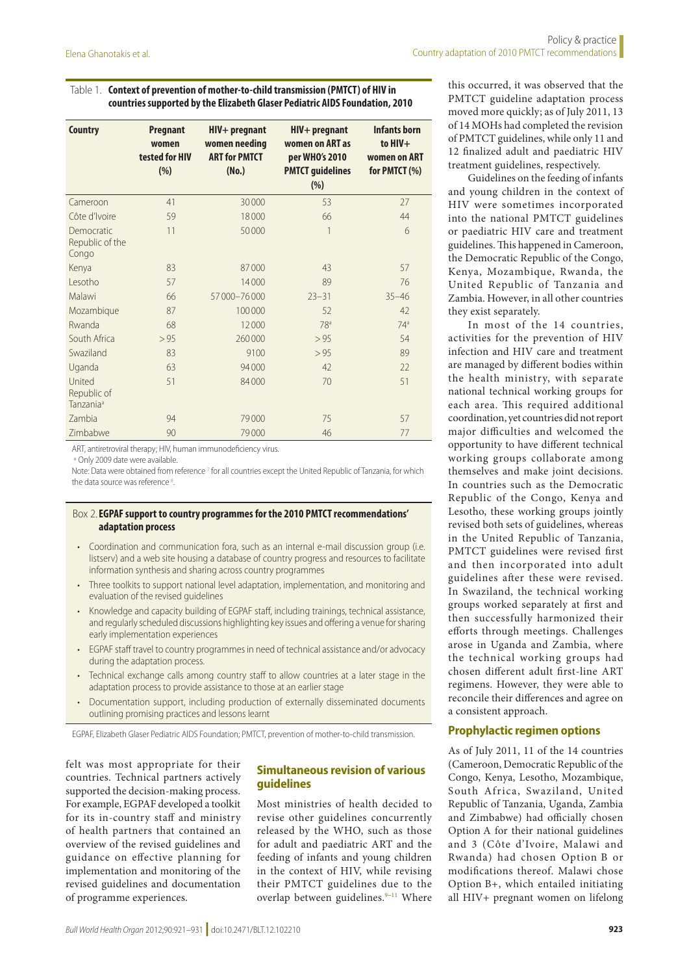#### <span id="page-2-0"></span>Table 1. **Context of prevention of mother-to-child transmission (PMTCT) of HIV in countries supported by the Elizabeth Glaser Pediatric AIDS Foundation, 2010**

| <b>Country</b>                                 | <b>Pregnant</b><br>women<br>tested for HIV<br>(% ) | $HIV+pregnant$<br>women needing<br><b>ART for PMTCT</b><br>(No.) | $HIV+prequant$<br>women on ART as<br>per WHO's 2010<br><b>PMTCT guidelines</b><br>(%) | <b>Infants born</b><br>to $HIV+$<br>women on ART<br>for PMTCT (%) |
|------------------------------------------------|----------------------------------------------------|------------------------------------------------------------------|---------------------------------------------------------------------------------------|-------------------------------------------------------------------|
| Cameroon                                       | 41                                                 | 30000                                                            | 53                                                                                    | 27                                                                |
| Côte d'Ivoire                                  | 59                                                 | 18000                                                            | 66                                                                                    | 44                                                                |
| Democratic<br>Republic of the<br>Congo         | 11                                                 | 50000                                                            | 1                                                                                     | 6                                                                 |
| Kenya                                          | 83                                                 | 87000                                                            | 43                                                                                    | 57                                                                |
| Lesotho                                        | 57                                                 | 14000                                                            | 89                                                                                    | 76                                                                |
| Malawi                                         | 66                                                 | 57000-76000                                                      | $23 - 31$                                                                             | $35 - 46$                                                         |
| Mozambique                                     | 87                                                 | 100000                                                           | 52                                                                                    | 42                                                                |
| Rwanda                                         | 68                                                 | 12000                                                            | 78 <sup>a</sup>                                                                       | 74 <sup>a</sup>                                                   |
| South Africa                                   | > 95                                               | 260000                                                           | > 95                                                                                  | 54                                                                |
| Swaziland                                      | 83                                                 | 9100                                                             | > 95                                                                                  | 89                                                                |
| Uganda                                         | 63                                                 | 94000                                                            | 42                                                                                    | 22                                                                |
| United<br>Republic of<br>Tanzania <sup>a</sup> | 51                                                 | 84000                                                            | 70                                                                                    | 51                                                                |
| Zambia                                         | 94                                                 | 79000                                                            | 75                                                                                    | 57                                                                |
| Zimbabwe                                       | 90                                                 | 79000                                                            | 46                                                                                    | 77                                                                |

ART, antiretroviral therapy; HIV, human immunodeficiency virus.

<sup>a</sup> Only 2009 date were available

Note: Data were obtained from reference <sup>7</sup> for all countries except the United Republic of Tanzania, for which the data source was reference<sup>[8](#page-10-2)</sup>. .

#### <span id="page-2-1"></span>Box 2.**EGPAF support to country programmes for the 2010 PMTCT recommendations' adaptation process**

- Coordination and communication fora, such as an internal e-mail discussion group (i.e. listserv) and a web site housing a database of country progress and resources to facilitate information synthesis and sharing across country programmes
- Three toolkits to support national level adaptation, implementation, and monitoring and evaluation of the revised guidelines
- Knowledge and capacity building of EGPAF staff, including trainings, technical assistance, and regularly scheduled discussions highlighting key issues and offering a venue for sharing early implementation experiences
- EGPAF staff travel to country programmes in need of technical assistance and/or advocacy during the adaptation process.
- Technical exchange calls among country staff to allow countries at a later stage in the adaptation process to provide assistance to those at an earlier stage
- Documentation support, including production of externally disseminated documents outlining promising practices and lessons learnt

EGPAF, Elizabeth Glaser Pediatric AIDS Foundation; PMTCT, prevention of mother-to-child transmission.

felt was most appropriate for their countries. Technical partners actively supported the decision-making process. For example, EGPAF developed a toolkit for its in-country staff and ministry of health partners that contained an overview of the revised guidelines and guidance on effective planning for implementation and monitoring of the revised guidelines and documentation of programme experiences.

#### **Simultaneous revision of various guidelines**

Most ministries of health decided to revise other guidelines concurrently released by the WHO, such as those for adult and paediatric ART and the feeding of infants and young children in the context of HIV, while revising their PMTCT guidelines due to the overlap between guidelines.<sup>[9](#page-10-0)-11</sup> Where

this occurred, it was observed that the PMTCT guideline adaptation process moved more quickly; as of July 2011, 13 of 14 MOHs had completed the revision of PMTCT guidelines, while only 11 and 12 finalized adult and paediatric HIV treatment guidelines, respectively.

Guidelines on the feeding of infants and young children in the context of HIV were sometimes incorporated into the national PMTCT guidelines or paediatric HIV care and treatment guidelines. This happened in Cameroon, the Democratic Republic of the Congo, Kenya, Mozambique, Rwanda, the United Republic of Tanzania and Zambia. However, in all other countries they exist separately.

In most of the 14 countries, activities for the prevention of HIV infection and HIV care and treatment are managed by different bodies within the health ministry, with separate national technical working groups for each area. This required additional coordination, yet countries did not report major difficulties and welcomed the opportunity to have different technical working groups collaborate among themselves and make joint decisions. In countries such as the Democratic Republic of the Congo, Kenya and Lesotho, these working groups jointly revised both sets of guidelines, whereas in the United Republic of Tanzania, PMTCT guidelines were revised first and then incorporated into adult guidelines after these were revised. In Swaziland, the technical working groups worked separately at first and then successfully harmonized their efforts through meetings. Challenges arose in Uganda and Zambia, where the technical working groups had chosen different adult first-line ART regimens. However, they were able to reconcile their differences and agree on a consistent approach.

#### **Prophylactic regimen options**

As of July 2011, 11 of the 14 countries (Cameroon, Democratic Republic of the Congo, Kenya, Lesotho, Mozambique, South Africa, Swaziland, United Republic of Tanzania, Uganda, Zambia and Zimbabwe) had officially chosen Option A for their national guidelines and 3 (Côte d'Ivoire, Malawi and Rwanda) had chosen Option B or modifications thereof. Malawi chose Option B+, which entailed initiating all HIV+ pregnant women on lifelong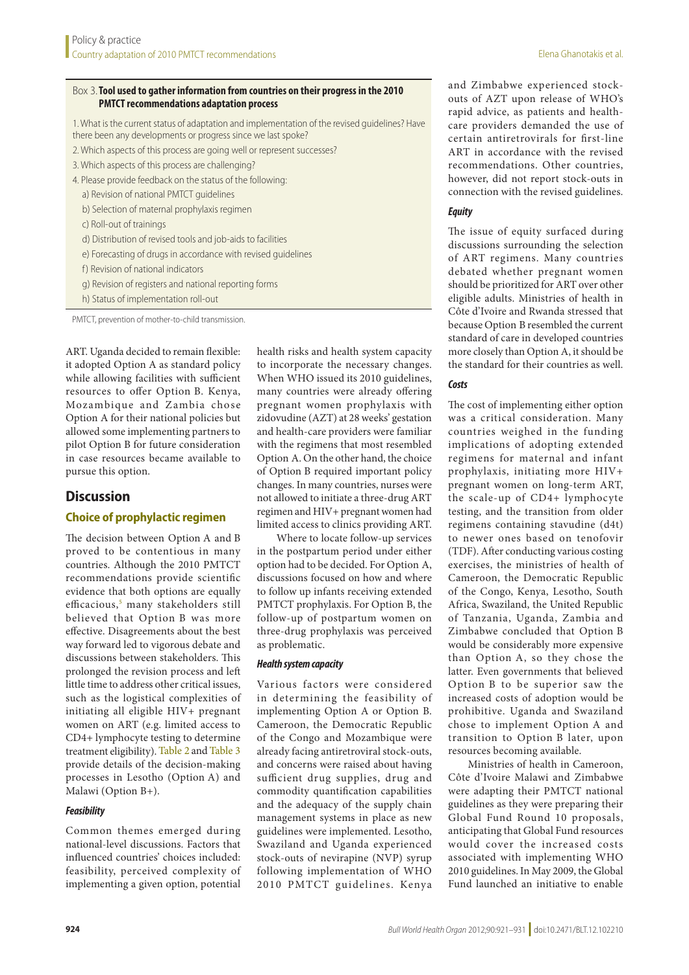#### <span id="page-3-0"></span>Box 3.**Tool used to gather information from countries on their progress in the 2010 PMTCT recommendations adaptation process**

1. What is the current status of adaptation and implementation of the revised guidelines? Have there been any developments or progress since we last spoke?

- 2. Which aspects of this process are going well or represent successes?
- 3. Which aspects of this process are challenging?
- 4. Please provide feedback on the status of the following: a) Revision of national PMTCT guidelines
	- b) Selection of maternal prophylaxis regimen
	- c) Roll-out of trainings
	- d) Distribution of revised tools and job-aids to facilities
	- e) Forecasting of drugs in accordance with revised guidelines
	- f) Revision of national indicators
	- g) Revision of registers and national reporting forms
	- h) Status of implementation roll-out

PMTCT, prevention of mother-to-child transmission.

ART. Uganda decided to remain flexible: it adopted Option A as standard policy while allowing facilities with sufficient resources to offer Option B. Kenya, Mozambique and Zambia chose Option A for their national policies but allowed some implementing partners to pilot Option B for future consideration in case resources became available to pursue this option.

#### **Discussion**

#### **Choice of prophylactic regimen**

The decision between Option A and B proved to be contentious in many countries. Although the 2010 PMTCT recommendations provide scientific evidence that both options are equally efficacious,<sup>[5](#page-9-4)</sup> many stakeholders still believed that Option B was more effective. Disagreements about the best way forward led to vigorous debate and discussions between stakeholders. This prolonged the revision process and left little time to address other critical issues, such as the logistical complexities of initiating all eligible HIV+ pregnant women on ART (e.g. limited access to CD4+ lymphocyte testing to determine treatment eligibility). [Table](#page-4-0) 2 and [Table](#page-5-0) 3 provide details of the decision-making processes in Lesotho (Option A) and Malawi (Option B+).

#### *Feasibility*

Common themes emerged during national-level discussions. Factors that influenced countries' choices included: feasibility, perceived complexity of implementing a given option, potential

health risks and health system capacity to incorporate the necessary changes. When WHO issued its 2010 guidelines, many countries were already offering pregnant women prophylaxis with zidovudine (AZT) at 28 weeks' gestation and health-care providers were familiar with the regimens that most resembled Option A. On the other hand, the choice of Option B required important policy changes. In many countries, nurses were not allowed to initiate a three-drug ART regimen and HIV+ pregnant women had limited access to clinics providing ART.

Where to locate follow-up services in the postpartum period under either option had to be decided. For Option A, discussions focused on how and where to follow up infants receiving extended PMTCT prophylaxis. For Option B, the follow-up of postpartum women on three-drug prophylaxis was perceived as problematic.

#### *Health system capacity*

Various factors were considered in determining the feasibility of implementing Option A or Option B. Cameroon, the Democratic Republic of the Congo and Mozambique were already facing antiretroviral stock-outs, and concerns were raised about having sufficient drug supplies, drug and commodity quantification capabilities and the adequacy of the supply chain management systems in place as new guidelines were implemented. Lesotho, Swaziland and Uganda experienced stock-outs of nevirapine (NVP) syrup following implementation of WHO 2010 PMTCT guidelines. Kenya

and Zimbabwe experienced stockouts of AZT upon release of WHO's rapid advice, as patients and healthcare providers demanded the use of certain antiretrovirals for first-line ART in accordance with the revised recommendations. Other countries, however, did not report stock-outs in connection with the revised guidelines.

#### *Equity*

The issue of equity surfaced during discussions surrounding the selection of ART regimens. Many countries debated whether pregnant women should be prioritized for ART over other eligible adults. Ministries of health in Côte d'Ivoire and Rwanda stressed that because Option B resembled the current standard of care in developed countries more closely than Option A, it should be the standard for their countries as well.

#### *Costs*

The cost of implementing either option was a critical consideration. Many countries weighed in the funding implications of adopting extended regimens for maternal and infant prophylaxis, initiating more HIV+ pregnant women on long-term ART, the scale-up of CD4+ lymphocyte testing, and the transition from older regimens containing stavudine (d4t) to newer ones based on tenofovir (TDF). After conducting various costing exercises, the ministries of health of Cameroon, the Democratic Republic of the Congo, Kenya, Lesotho, South Africa, Swaziland, the United Republic of Tanzania, Uganda, Zambia and Zimbabwe concluded that Option B would be considerably more expensive than Option A, so they chose the latter. Even governments that believed Option B to be superior saw the increased costs of adoption would be prohibitive. Uganda and Swaziland chose to implement Option A and transition to Option B later, upon resources becoming available.

Ministries of health in Cameroon, Côte d'Ivoire Malawi and Zimbabwe were adapting their PMTCT national guidelines as they were preparing their Global Fund Round 10 proposals, anticipating that Global Fund resources would cover the increased costs associated with implementing WHO 2010 guidelines. In May 2009, the Global Fund launched an initiative to enable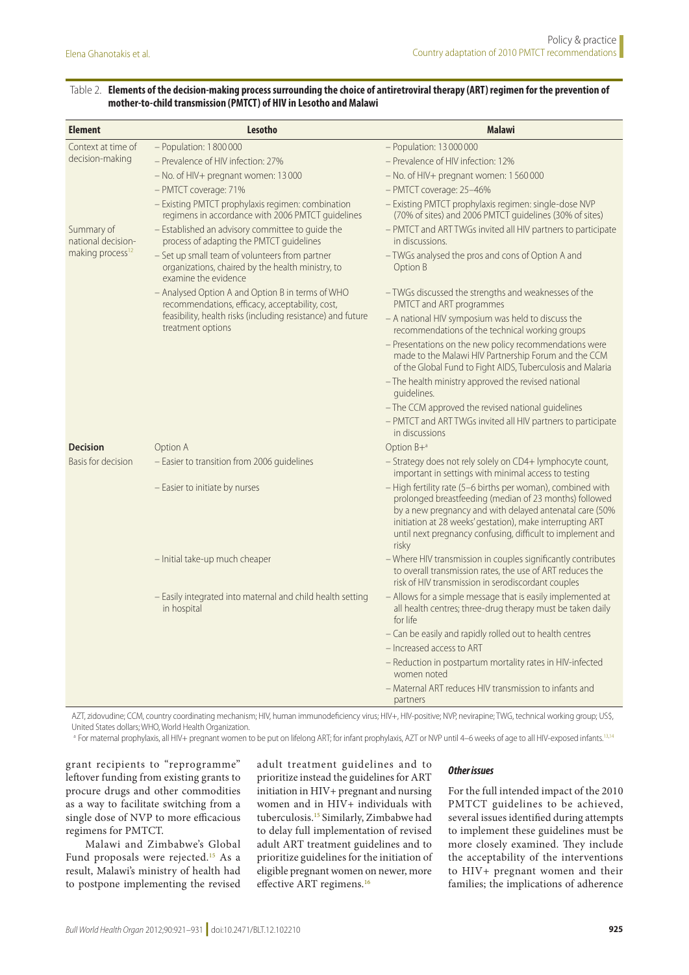#### <span id="page-4-0"></span>Table 2. **Elements of the decision-making process surrounding the choice of antiretroviral therapy (ART) regimen for the prevention of mother-to-child transmission (PMTCT) of HIV in Lesotho and Malawi**

| <b>Element</b>                                                   | Lesotho                                                                                                                     | <b>Malawi</b>                                                                                                                                                                                                                                                                                                        |
|------------------------------------------------------------------|-----------------------------------------------------------------------------------------------------------------------------|----------------------------------------------------------------------------------------------------------------------------------------------------------------------------------------------------------------------------------------------------------------------------------------------------------------------|
| Context at time of                                               | $-$ Population: 1800000                                                                                                     | $-$ Population: 13 000 000                                                                                                                                                                                                                                                                                           |
| decision-making                                                  | - Prevalence of HIV infection: 27%                                                                                          | - Prevalence of HIV infection: 12%                                                                                                                                                                                                                                                                                   |
|                                                                  | $-$ No. of HIV+ pregnant women: 13000                                                                                       | $-$ No. of HIV+ pregnant women: 1560000                                                                                                                                                                                                                                                                              |
|                                                                  | - PMTCT coverage: 71%                                                                                                       | - PMTCT coverage: 25-46%                                                                                                                                                                                                                                                                                             |
|                                                                  | - Existing PMTCT prophylaxis regimen: combination<br>regimens in accordance with 2006 PMTCT guidelines                      | - Existing PMTCT prophylaxis regimen: single-dose NVP<br>(70% of sites) and 2006 PMTCT guidelines (30% of sites)                                                                                                                                                                                                     |
| Summary of<br>national decision-<br>making process <sup>12</sup> | - Established an advisory committee to guide the<br>process of adapting the PMTCT guidelines                                | - PMTCT and ART TWGs invited all HIV partners to participate<br>in discussions.                                                                                                                                                                                                                                      |
|                                                                  | - Set up small team of volunteers from partner<br>organizations, chaired by the health ministry, to<br>examine the evidence | - TWGs analysed the pros and cons of Option A and<br>Option B                                                                                                                                                                                                                                                        |
|                                                                  | - Analysed Option A and Option B in terms of WHO<br>recommendations, efficacy, acceptability, cost,                         | - TWGs discussed the strengths and weaknesses of the<br>PMTCT and ART programmes                                                                                                                                                                                                                                     |
|                                                                  | feasibility, health risks (including resistance) and future<br>treatment options                                            | - A national HIV symposium was held to discuss the<br>recommendations of the technical working groups                                                                                                                                                                                                                |
|                                                                  |                                                                                                                             | - Presentations on the new policy recommendations were<br>made to the Malawi HIV Partnership Forum and the CCM<br>of the Global Fund to Fight AIDS, Tuberculosis and Malaria                                                                                                                                         |
|                                                                  |                                                                                                                             | - The health ministry approved the revised national<br>quidelines.                                                                                                                                                                                                                                                   |
|                                                                  |                                                                                                                             | - The CCM approved the revised national guidelines<br>- PMTCT and ART TWGs invited all HIV partners to participate<br>in discussions                                                                                                                                                                                 |
| <b>Decision</b>                                                  | Option A                                                                                                                    | Option B+ <sup>a</sup>                                                                                                                                                                                                                                                                                               |
| Basis for decision                                               | - Easier to transition from 2006 guidelines                                                                                 | - Strategy does not rely solely on CD4+ lymphocyte count,<br>important in settings with minimal access to testing                                                                                                                                                                                                    |
|                                                                  | - Easier to initiate by nurses                                                                                              | - High fertility rate (5-6 births per woman), combined with<br>prolonged breastfeeding (median of 23 months) followed<br>by a new pregnancy and with delayed antenatal care (50%<br>initiation at 28 weeks' gestation), make interrupting ART<br>until next pregnancy confusing, difficult to implement and<br>risky |
|                                                                  | - Initial take-up much cheaper                                                                                              | - Where HIV transmission in couples significantly contributes<br>to overall transmission rates, the use of ART reduces the<br>risk of HIV transmission in serodiscordant couples                                                                                                                                     |
|                                                                  | - Easily integrated into maternal and child health setting<br>in hospital                                                   | - Allows for a simple message that is easily implemented at<br>all health centres; three-drug therapy must be taken daily<br>for life                                                                                                                                                                                |
|                                                                  |                                                                                                                             | - Can be easily and rapidly rolled out to health centres                                                                                                                                                                                                                                                             |
|                                                                  |                                                                                                                             | - Increased access to ART                                                                                                                                                                                                                                                                                            |
|                                                                  |                                                                                                                             | - Reduction in postpartum mortality rates in HIV-infected<br>women noted                                                                                                                                                                                                                                             |
|                                                                  |                                                                                                                             | - Maternal ART reduces HIV transmission to infants and<br>partners                                                                                                                                                                                                                                                   |

AZT, zidovudine; CCM, country coordinating mechanism; HIV, human immunodeficiency virus; HIV+, HIV-positive; NVP, nevirapine; TWG, technical working group; US\$, United States dollars; WHO, World Health Organization.

<sup>a</sup> For maternal prophylaxis, all HIV+ pregnant women to be put on lifelong ART; for infant prophylaxis, AZT or NVP until 4–6 weeks of age to all HIV-exposed infants.<sup>[13,](#page-10-6)[14](#page-10-7)</sup>

grant recipients to "reprogramme" leftover funding from existing grants to procure drugs and other commodities as a way to facilitate switching from a single dose of NVP to more efficacious regimens for PMTCT.

Malawi and Zimbabwe's Global Fund proposals were rejected.<sup>[15](#page-10-3)</sup> As a result, Malawi's ministry of health had to postpone implementing the revised

adult treatment guidelines and to prioritize instead the guidelines for ART initiation in HIV+ pregnant and nursing women and in HIV+ individuals with tuberculosis[.15](#page-10-3) Similarly, Zimbabwe had to delay full implementation of revised adult ART treatment guidelines and to prioritize guidelines for the initiation of eligible pregnant women on newer, more effective ART regimens.[16](#page-10-4)

#### *Other issues*

For the full intended impact of the 2010 PMTCT guidelines to be achieved, several issues identified during attempts to implement these guidelines must be more closely examined. They include the acceptability of the interventions to HIV+ pregnant women and their families; the implications of adherence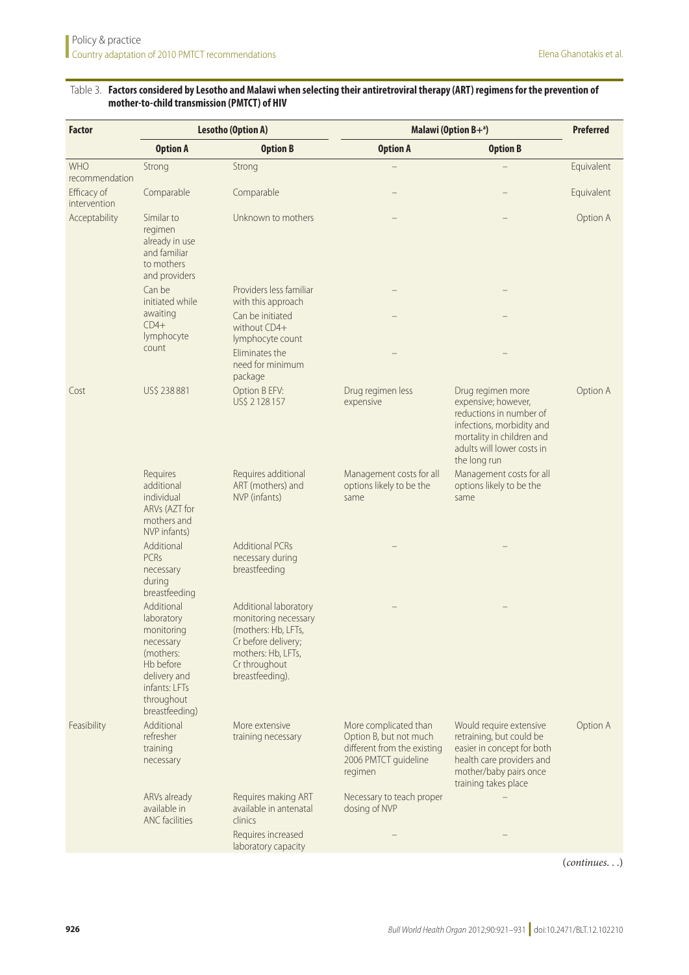#### <span id="page-5-0"></span>Table 3. **Factors considered by Lesotho and Malawi when selecting their antiretroviral therapy (ART) regimens for the prevention of mother-to-child transmission (PMTCT) of HIV**

| <b>Factor</b>               | <b>Lesotho (Option A)</b>                                                                                                                      |                                                                                                                                                       | Malawi (Option $B+^a$ )                                                                                           | <b>Preferred</b>                                                                                                                                                            |            |
|-----------------------------|------------------------------------------------------------------------------------------------------------------------------------------------|-------------------------------------------------------------------------------------------------------------------------------------------------------|-------------------------------------------------------------------------------------------------------------------|-----------------------------------------------------------------------------------------------------------------------------------------------------------------------------|------------|
|                             | <b>Option A</b>                                                                                                                                | <b>Option B</b>                                                                                                                                       | <b>Option A</b>                                                                                                   | <b>Option B</b>                                                                                                                                                             |            |
| WHO<br>recommendation       | Strong                                                                                                                                         | Strong                                                                                                                                                |                                                                                                                   |                                                                                                                                                                             | Equivalent |
| Efficacy of<br>intervention | Comparable                                                                                                                                     | Comparable                                                                                                                                            |                                                                                                                   |                                                                                                                                                                             | Equivalent |
| Acceptability               | Similar to<br>regimen<br>already in use<br>and familiar<br>to mothers<br>and providers                                                         | Unknown to mothers                                                                                                                                    |                                                                                                                   |                                                                                                                                                                             | Option A   |
|                             | Can be<br>initiated while                                                                                                                      | Providers less familiar<br>with this approach                                                                                                         |                                                                                                                   |                                                                                                                                                                             |            |
|                             | awaiting<br>$CD4+$<br>lymphocyte                                                                                                               | Can be initiated<br>without CD4+                                                                                                                      |                                                                                                                   |                                                                                                                                                                             |            |
|                             | count                                                                                                                                          | lymphocyte count<br>Eliminates the<br>need for minimum<br>package                                                                                     |                                                                                                                   |                                                                                                                                                                             |            |
| Cost                        | US\$ 238881                                                                                                                                    | Option B EFV:<br>US\$ 2128157                                                                                                                         | Drug regimen less<br>expensive                                                                                    | Drug regimen more<br>expensive; however,<br>reductions in number of<br>infections, morbidity and<br>mortality in children and<br>adults will lower costs in<br>the long run | Option A   |
|                             | Requires<br>additional<br>individual<br>ARVs (AZT for<br>mothers and<br>NVP infants)                                                           | Requires additional<br>ART (mothers) and<br>NVP (infants)                                                                                             | Management costs for all<br>options likely to be the<br>same                                                      | Management costs for all<br>options likely to be the<br>same                                                                                                                |            |
|                             | Additional<br>PCRs<br>necessary<br>during<br>breastfeeding                                                                                     | <b>Additional PCRs</b><br>necessary during<br>breastfeeding                                                                                           |                                                                                                                   |                                                                                                                                                                             |            |
|                             | Additional<br>laboratory<br>monitoring<br>necessary<br>(mothers:<br>Hb before<br>delivery and<br>infants: LFTs<br>throughout<br>breastfeeding) | Additional laboratory<br>monitoring necessary<br>(mothers: Hb, LFTs,<br>Cr before delivery;<br>mothers: Hb, LFTs,<br>Cr throughout<br>breastfeeding). |                                                                                                                   |                                                                                                                                                                             |            |
| Feasibility                 | Additional<br>refresher<br>training<br>necessary                                                                                               | More extensive<br>training necessary                                                                                                                  | More complicated than<br>Option B, but not much<br>different from the existing<br>2006 PMTCT guideline<br>regimen | Would require extensive<br>retraining, but could be<br>easier in concept for both<br>health care providers and<br>mother/baby pairs once<br>training takes place            | Option A   |
|                             | ARVs already<br>available in<br>ANC facilities                                                                                                 | Requires making ART<br>available in antenatal<br>clinics                                                                                              | Necessary to teach proper<br>dosing of NVP                                                                        |                                                                                                                                                                             |            |
|                             |                                                                                                                                                | Requires increased<br>laboratory capacity                                                                                                             |                                                                                                                   |                                                                                                                                                                             |            |

(*continues*. . .)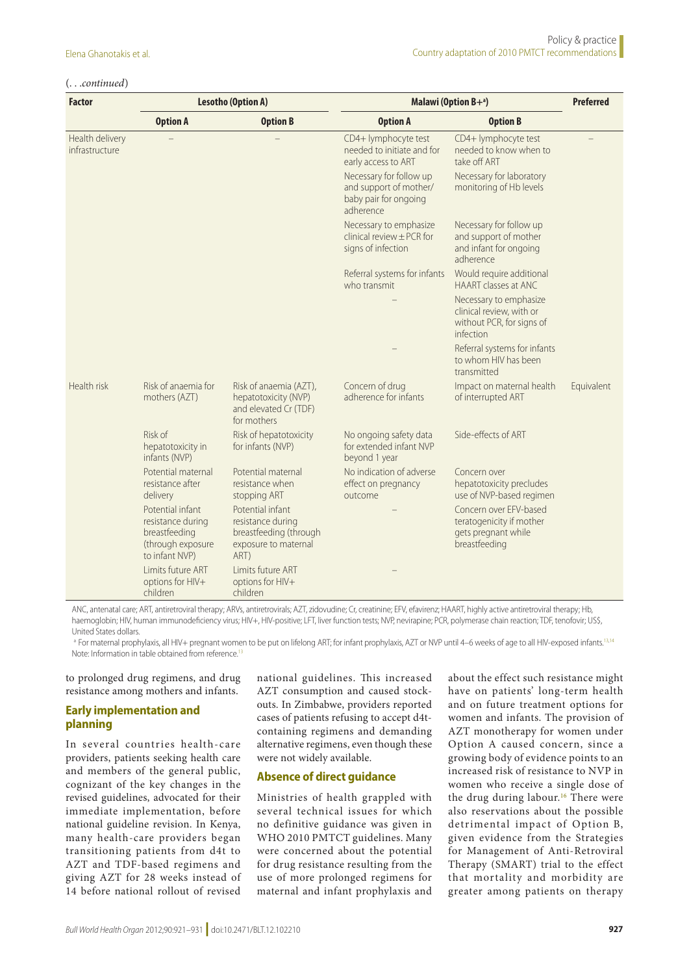#### (. . .*continued*)

| <b>Factor</b>                     | <b>Lesotho (Option A)</b>                                                                     |                                                                                                 | Malawi (Option $B+a$ )                                                                                                                                  | <b>Preferred</b>                                                                                                      |            |
|-----------------------------------|-----------------------------------------------------------------------------------------------|-------------------------------------------------------------------------------------------------|---------------------------------------------------------------------------------------------------------------------------------------------------------|-----------------------------------------------------------------------------------------------------------------------|------------|
|                                   | <b>Option A</b>                                                                               | <b>Option B</b>                                                                                 | <b>Option A</b>                                                                                                                                         | <b>Option B</b>                                                                                                       |            |
| Health delivery<br>infrastructure |                                                                                               |                                                                                                 | CD4+ lymphocyte test<br>needed to initiate and for<br>early access to ART<br>Necessary for follow up<br>and support of mother/<br>baby pair for ongoing | CD4+ lymphocyte test<br>needed to know when to<br>take off ART<br>Necessary for laboratory<br>monitoring of Hb levels |            |
|                                   |                                                                                               |                                                                                                 | adherence                                                                                                                                               |                                                                                                                       |            |
|                                   |                                                                                               |                                                                                                 | Necessary to emphasize<br>clinical review $\pm$ PCR for<br>signs of infection                                                                           | Necessary for follow up<br>and support of mother<br>and infant for ongoing<br>adherence                               |            |
|                                   |                                                                                               |                                                                                                 | Referral systems for infants<br>who transmit                                                                                                            | Would require additional<br>HAART classes at ANC                                                                      |            |
|                                   |                                                                                               |                                                                                                 |                                                                                                                                                         | Necessary to emphasize<br>clinical review, with or<br>without PCR, for signs of<br>infection                          |            |
|                                   |                                                                                               |                                                                                                 |                                                                                                                                                         | Referral systems for infants<br>to whom HIV has been<br>transmitted                                                   |            |
| Health risk                       | Risk of anaemia for<br>mothers (AZT)                                                          | Risk of anaemia (AZT),<br>hepatotoxicity (NVP)<br>and elevated Cr (TDF)<br>for mothers          | Concern of drug<br>adherence for infants                                                                                                                | Impact on maternal health<br>of interrupted ART                                                                       | Equivalent |
|                                   | Risk of<br>hepatotoxicity in<br>infants (NVP)                                                 | Risk of hepatotoxicity<br>for infants (NVP)                                                     | No ongoing safety data<br>for extended infant NVP<br>beyond 1 year                                                                                      | Side-effects of ART                                                                                                   |            |
|                                   | Potential maternal<br>resistance after<br>delivery                                            | Potential maternal<br>resistance when<br>stopping ART                                           | No indication of adverse<br>effect on pregnancy<br>outcome                                                                                              | Concern over<br>hepatotoxicity precludes<br>use of NVP-based regimen                                                  |            |
|                                   | Potential infant<br>resistance during<br>breastfeeding<br>(through exposure<br>to infant NVP) | Potential infant<br>resistance during<br>breastfeeding (through<br>exposure to maternal<br>ART) |                                                                                                                                                         | Concern over EFV-based<br>teratogenicity if mother<br>gets pregnant while<br>breastfeeding                            |            |
|                                   | Limits future ART<br>options for HIV+<br>children                                             | Limits future ART<br>options for HIV+<br>children                                               |                                                                                                                                                         |                                                                                                                       |            |

ANC, antenatal care; ART, antiretroviral therapy; ARVs, antiretrovirals; AZT, zidovudine; Cr, creatinine; EFV, efavirenz; HAART, highly active antiretroviral therapy; Hb, haemoglobin; HIV, human immunodeficiency virus; HIV+, HIV-positive; LFT, liver function tests; NVP, nevirapine; PCR, polymerase chain reaction; TDF, tenofovir; US\$, United States dollars.

<sup>a</sup> For maternal prophylaxis, all HIV+ pregnant women to be put on lifelong ART; for infant prophylaxis, AZT or NVP until 4–6 weeks of age to all HIV-exposed infants.<sup>[13,](#page-10-6)[14](#page-10-7)</sup> Note: Information in table obtained from reference.[13](#page-10-6)

to prolonged drug regimens, and drug resistance among mothers and infants.

### **Early implementation and planning**

In several countries health-care providers, patients seeking health care and members of the general public, cognizant of the key changes in the revised guidelines, advocated for their immediate implementation, before national guideline revision. In Kenya, many health-care providers began transitioning patients from d4t to AZT and TDF-based regimens and giving AZT for 28 weeks instead of 14 before national rollout of revised

national guidelines. This increased AZT consumption and caused stockouts. In Zimbabwe, providers reported cases of patients refusing to accept d4tcontaining regimens and demanding alternative regimens, even though these were not widely available.

#### **Absence of direct guidance**

Ministries of health grappled with several technical issues for which no definitive guidance was given in WHO 2010 PMTCT guidelines. Many were concerned about the potential for drug resistance resulting from the use of more prolonged regimens for maternal and infant prophylaxis and about the effect such resistance might have on patients' long-term health and on future treatment options for women and infants. The provision of AZT monotherapy for women under Option A caused concern, since a growing body of evidence points to an increased risk of resistance to NVP in women who receive a single dose of the drug during labour.<sup>16</sup> There were also reservations about the possible detrimental impact of Option B, given evidence from the Strategies for Management of Anti-Retroviral Therapy (SMART) trial to the effect that mortality and morbidity are greater among patients on therapy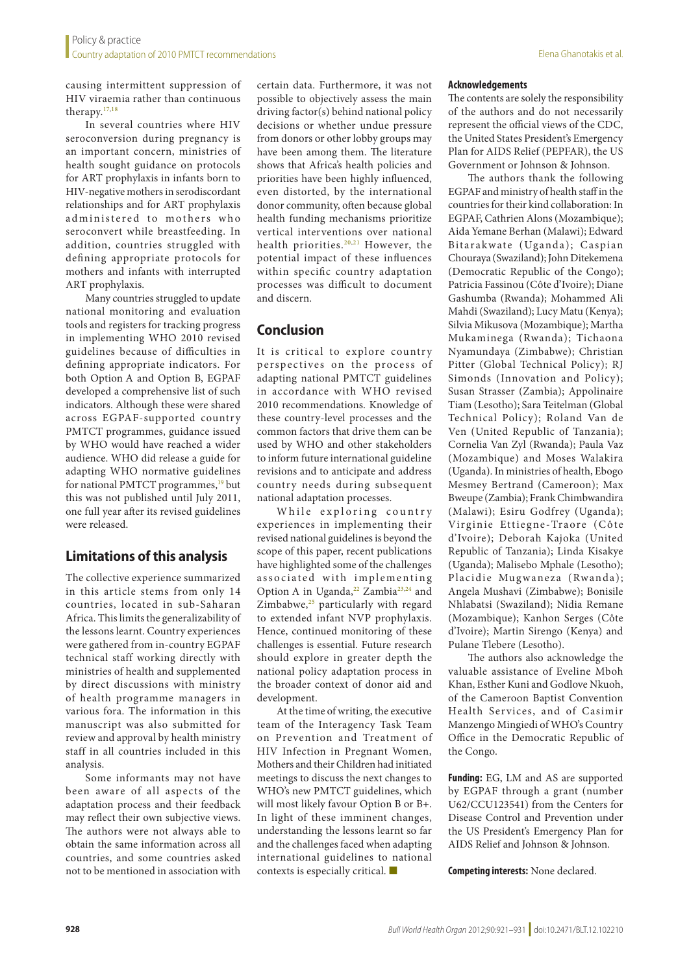causing intermittent suppression of HIV viraemia rather than continuous therapy.[17,](#page-10-8)[18](#page-10-9)

In several countries where HIV seroconversion during pregnancy is an important concern, ministries of health sought guidance on protocols for ART prophylaxis in infants born to HIV-negative mothers in serodiscordant relationships and for ART prophylaxis administered to mothers who seroconvert while breastfeeding. In addition, countries struggled with defining appropriate protocols for mothers and infants with interrupted ART prophylaxis.

Many countries struggled to update national monitoring and evaluation tools and registers for tracking progress in implementing WHO 2010 revised guidelines because of difficulties in defining appropriate indicators. For both Option A and Option B, EGPAF developed a comprehensive list of such indicators. Although these were shared across EGPAF-supported country PMTCT programmes, guidance issued by WHO would have reached a wider audience. WHO did release a guide for adapting WHO normative guidelines for national PMTCT programmes,<sup>19</sup> but this was not published until July 2011, one full year after its revised guidelines were released.

# **Limitations of this analysis**

The collective experience summarized in this article stems from only 14 countries, located in sub-Saharan Africa. This limits the generalizability of the lessons learnt. Country experiences were gathered from in-country EGPAF technical staff working directly with ministries of health and supplemented by direct discussions with ministry of health programme managers in various fora. The information in this manuscript was also submitted for review and approval by health ministry staff in all countries included in this analysis.

Some informants may not have been aware of all aspects of the adaptation process and their feedback may reflect their own subjective views. The authors were not always able to obtain the same information across all countries, and some countries asked not to be mentioned in association with

certain data. Furthermore, it was not possible to objectively assess the main driving factor(s) behind national policy decisions or whether undue pressure from donors or other lobby groups may have been among them. The literature shows that Africa's health policies and priorities have been highly influenced, even distorted, by the international donor community, often because global health funding mechanisms prioritize vertical interventions over national health priorities.<sup>[20,](#page-10-11)[21](#page-10-12)</sup> However, the potential impact of these influences within specific country adaptation processes was difficult to document and discern.

# **Conclusion**

It is critical to explore country perspectives on the process of adapting national PMTCT guidelines in accordance with WHO revised 2010 recommendations. Knowledge of these country-level processes and the common factors that drive them can be used by WHO and other stakeholders to inform future international guideline revisions and to anticipate and address country needs during subsequent national adaptation processes.

While exploring country experiences in implementing their revised national guidelines is beyond the scope of this paper, recent publications have highlighted some of the challenges associated with implementing Option A in Uganda,<sup>22</sup> Zambia<sup>[23](#page-10-14),24</sup> and Zimbabwe, $25$  particularly with regard to extended infant NVP prophylaxis. Hence, continued monitoring of these challenges is essential. Future research should explore in greater depth the national policy adaptation process in the broader context of donor aid and development.

At the time of writing, the executive team of the Interagency Task Team on Prevention and Treatment of HIV Infection in Pregnant Women, Mothers and their Children had initiated meetings to discuss the next changes to WHO's new PMTCT guidelines, which will most likely favour Option B or B+. In light of these imminent changes, understanding the lessons learnt so far and the challenges faced when adapting international guidelines to national contexts is especially critical. ■

#### **Acknowledgements**

The contents are solely the responsibility of the authors and do not necessarily represent the official views of the CDC, the United States President's Emergency Plan for AIDS Relief (PEPFAR), the US Government or Johnson & Johnson.

The authors thank the following EGPAF and ministry of health staff in the countries for their kind collaboration: In EGPAF, Cathrien Alons (Mozambique); Aida Yemane Berhan (Malawi); Edward Bitarakwate (Uganda); Caspian Chouraya (Swaziland); John Ditekemena (Democratic Republic of the Congo); Patricia Fassinou (Côte d'Ivoire); Diane Gashumba (Rwanda); Mohammed Ali Mahdi (Swaziland); Lucy Matu (Kenya); Silvia Mikusova (Mozambique); Martha Mukaminega (Rwanda); Tichaona Nyamundaya (Zimbabwe); Christian Pitter (Global Technical Policy); RJ Simonds (Innovation and Policy); Susan Strasser (Zambia); Appolinaire Tiam (Lesotho); Sara Teitelman (Global Technical Policy); Roland Van de Ven (United Republic of Tanzania); Cornelia Van Zyl (Rwanda); Paula Vaz (Mozambique) and Moses Walakira (Uganda). In ministries of health, Ebogo Mesmey Bertrand (Cameroon); Max Bweupe (Zambia); Frank Chimbwandira (Malawi); Esiru Godfrey (Uganda); Virginie Ettiegne-Traore (Côte d'Ivoire); Deborah Kajoka (United Republic of Tanzania); Linda Kisakye (Uganda); Malisebo Mphale (Lesotho); Placidie Mugwaneza (Rwanda); Angela Mushavi (Zimbabwe); Bonisile Nhlabatsi (Swaziland); Nidia Remane (Mozambique); Kanhon Serges (Côte d'Ivoire); Martin Sirengo (Kenya) and Pulane Tlebere (Lesotho).

The authors also acknowledge the valuable assistance of Eveline Mboh Khan, Esther Kuni and Godlove Nkuoh, of the Cameroon Baptist Convention Health Ser vices, and of Casimir Manzengo Mingiedi of WHO's Country Office in the Democratic Republic of the Congo.

**Funding:** EG, LM and AS are supported by EGPAF through a grant (number U62/CCU123541) from the Centers for Disease Control and Prevention under the US President's Emergency Plan for AIDS Relief and Johnson & Johnson.

**Competing interests:** None declared.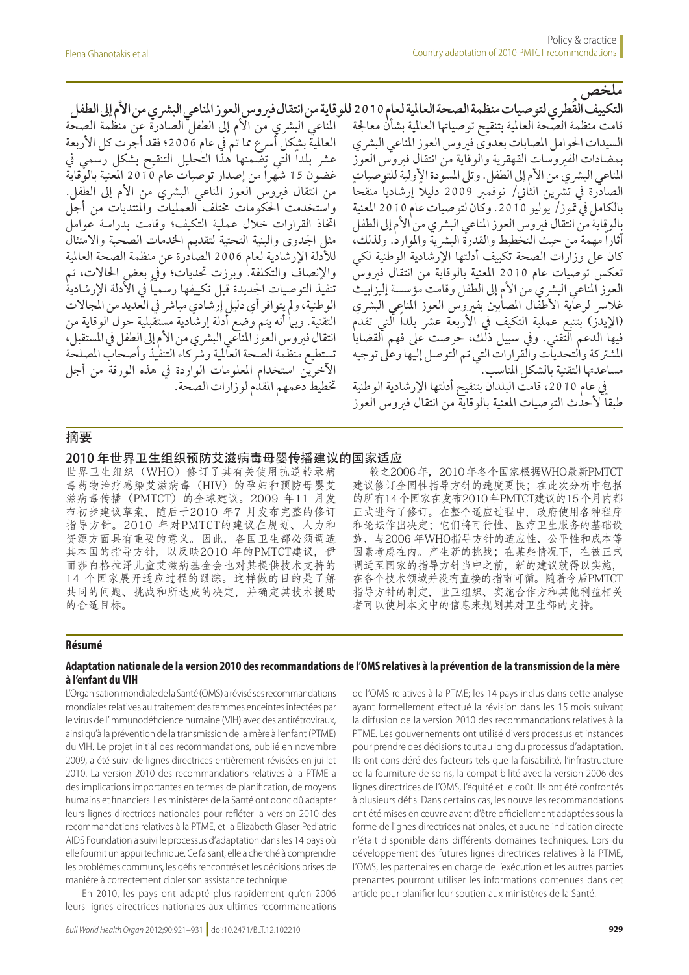املناعي البرشي من األم إىل الطفل الصادرة عن منظمة الصحة العالميّة بشكل أسرع مما تُم في عام 2006؛ فقد أجّرت كل الأربعة عشر بلداً التي تضَّمنها هذا التحليل التنقيح بشكل رسمي في غضون 15 شهراً من إصدار توصيات عام 2010 املعنية بالوقاية من انتقال فيروس العوز المناعي البشريٰ من الأم إلى الطفل. واستخدمت احلكومات خمتلف العمليات واملنتديات من أجل اختاذ القرارات خالل عملية التكيف؛ وقامت بدراسة عوامل مثل اجلدوى والبنية التحتية لتقديم اخلدمات الصحية واالمتثال لألدلة اإلرشادية لعام 2006 الصادرة عن منظمة الصحة العاملية والإنصاف والتكلفة. وبرزت تحديات؛ وفي بعض الحالات، تم تنفيذ التوصيات الجديدة قبل تكييفها رسمياً في الأدلة الإرشادية الوطنية، ولم يتوافر أي دليل إرشادي مباشر في العديد من المجالات التقنية. وبها أنه يتم وُضع أدلة إرشادية مستقبلية حول الوقاية من انتقال فيروس العوز المناعي البشري من الأم إلى الطفل في المستقبل، تستطيع منظمة الصحة العاملية ورشكاء التنفيذ وأصحاب املصلحة اآلخرين استخدام املعلومات الواردة يف هذه الورقة من أجل ختطيط دعمهم املقدم لوزارات الصحة.

**ملخص التكييف ا ُلقطري لتوصيات منظمة الصحة العاملية لعام 2010 للوقاية من انتقال فريوس العوز املناعي البرشي من األم إىل الطفل** قامت منظمة الصحة العاملية بتنقيح توصياهتا العاملية بشأن معاجلة السيدات الحوامل المصابات بعدوى فيروس العوز المناعي البشري بمضادات الفريوسات القهقرية والوقاية من انتقال فريوس العوز المناعي البشر ي من الأم إلى الطّفل. وتلى المسوّدة الأولية للتوصيات ً الصادّرة في تشرين الثاني/ نوفمبر 2009 دليلا إرشاديا منقحاً بالكامل يف متوز/ يوليو .2010 وكان لتوصيات عام 2010 املعنية بالوقاية من انتقال فيروس العوز المناعي البشري من الأم إلى الطفل آثاراً مهمة من حيث التخطيط والقدرة البشرية والموارد. ولذلك، كان عىل وزارات الصحة تكييف أدلتها اإلرشادية الوطنية لكي تعكس توصيات عام 2010 املعنية بالوقاية من انتقال فريوس العوز المناعي البشري من الأم إلى الطفل وقامت مؤسسة إليزابيث غلاسر لرعاية الأطفال المصابين بفيروس العوز المناعي البشري (الإيدز) بتتبع عملية التكيف في الأربعة عشر بلداً التي تقدم فيها الدعم التقني. ويف سبيل ذلك، حرصت عىل فهم القضايا تية من الملكة والتحديث من التي تم التوصل إليها وعلى توجيه<br>المشتركة والتحديات والقرارات التي تم التوصل إليها وعلى توجيه مساعدهتا التقنية بالشكل املناسب.

يف عام ،2010 قامت البلدان بتنقيح أدلتها اإلرشادية الوطنية طبقاً لأحدث التوصيات المعنية بالوقاية من انتقال فيروس العوز

### 摘要

#### 2010 年世界卫生组织预防艾滋病毒母婴传播建议的国家适应

世界卫生组织(WHO)修订了其有关使用抗逆转录病 毒药物治疗感染艾滋病毒(HIV)的孕妇和预防母婴艾 滋病毒传播 (PMTCT) 的全球建议。2009 年11 月发 布初步建议草案,随后于2010 年7 月发布完整的修订 指导方针。2010 年对PMTCT的建议在规划、人力和 资源方面具有重要的意义。因此,各国卫生部必须调适 其本国的指导方针, 以反映2010 年的PMTCT建议, 伊 丽莎白格拉泽儿童艾滋病基金会也对其提供技术支持的 14 个国家展开适应过程的跟踪。这样做的目的是了解 共同的问题、挑战和所达成的决定,并确定其技术援助 的合适目标。

较之2006 年,2010 年各个国家根据WHO最新PMTCT 建议修订全国性指导方针的速度更快;在此次分析中包括 的所有14 个国家在发布2010 年PMTCT建议的15 个月内都 正式进行了修订。在整个适应过程中,政府使用各种程序 和论坛作出决定;它们将可行性、医疗卫生服务的基础设 施、与2006 年WHO指导方针的适应性、公平性和成本等 因素考虑在内。产生新的挑战;在某些情况下,在被正式 调适至国家的指导方针当中之前,新的建议就得以实施, 在各个技术领域并没有直接的指南可循。随着今后PMTCT 指导方针的制定,世卫组织、实施合作方和其他利益相关 者可以使用本文中的信息来规划其对卫生部的支持。

#### **Résumé**

#### **Adaptation nationale de la version 2010 des recommandations de l'OMS relatives à la prévention de la transmission de la mère à l'enfant du VIH**

L'Organisation mondiale de la Santé (OMS) a révisé ses recommandations mondiales relatives au traitement des femmes enceintes infectées par le virus de l'immunodéficience humaine (VIH) avec des antirétroviraux, ainsi qu'à la prévention de la transmission de la mère à l'enfant (PTME) du VIH. Le projet initial des recommandations, publié en novembre 2009, a été suivi de lignes directrices entièrement révisées en juillet 2010. La version 2010 des recommandations relatives à la PTME a des implications importantes en termes de planification, de moyens humains et financiers. Les ministères de la Santé ont donc dû adapter leurs lignes directrices nationales pour refléter la version 2010 des recommandations relatives à la PTME, et la Elizabeth Glaser Pediatric AIDS Foundation a suivi le processus d'adaptation dans les 14 pays où elle fournit un appui technique. Ce faisant, elle a cherché à comprendre les problèmes communs, les défis rencontrés et les décisions prises de manière à correctement cibler son assistance technique.

En 2010, les pays ont adapté plus rapidement qu'en 2006 leurs lignes directrices nationales aux ultimes recommandations de l'OMS relatives à la PTME; les 14 pays inclus dans cette analyse ayant formellement effectué la révision dans les 15 mois suivant la diffusion de la version 2010 des recommandations relatives à la PTME. Les gouvernements ont utilisé divers processus et instances pour prendre des décisions tout au long du processus d'adaptation. Ils ont considéré des facteurs tels que la faisabilité, l'infrastructure de la fourniture de soins, la compatibilité avec la version 2006 des lignes directrices de l'OMS, l'équité et le coût. Ils ont été confrontés à plusieurs défis. Dans certains cas, les nouvelles recommandations ont été mises en œuvre avant d'être officiellement adaptées sous la forme de lignes directrices nationales, et aucune indication directe n'était disponible dans différents domaines techniques. Lors du développement des futures lignes directrices relatives à la PTME, l'OMS, les partenaires en charge de l'exécution et les autres parties prenantes pourront utiliser les informations contenues dans cet article pour planifier leur soutien aux ministères de la Santé.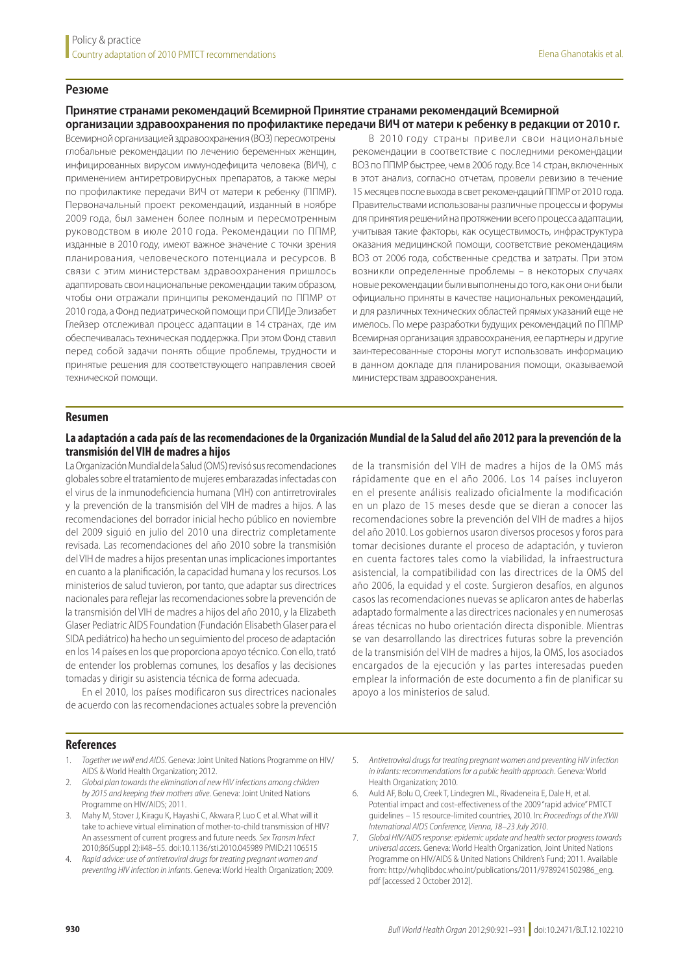#### **Резюме**

## **Принятие странами рекомендаций Всемирной Принятие странами рекомендаций Всемирной организации здравоохранения по профилактике передачи ВИЧ от матери к ребенку в редакции от 2010 г.**

Всемирной организацией здравоохранения (ВОЗ) пересмотрены глобальные рекомендации по лечению беременных женщин, инфицированных вирусом иммунодефицита человека (ВИЧ), с применением антиретровирусных препаратов, а также меры по профилактике передачи ВИЧ от матери к ребенку (ППМР). Первоначальный проект рекомендаций, изданный в ноябре 2009 года, был заменен более полным и пересмотренным руководством в июле 2010 года. Рекомендации по ППМР, изданные в 2010 году, имеют важное значение с точки зрения планирования, человеческого потенциала и ресурсов. В связи с этим министерствам здравоохранения пришлось адаптировать свои национальные рекомендации таким образом, чтобы они отражали принципы рекомендаций по ППМР от 2010 года, а Фонд педиатрической помощи при СПИДе Элизабет Глейзер отслеживал процесс адаптации в 14 странах, где им обеспечивалась техническая поддержка. При этом Фонд ставил перед собой задачи понять общие проблемы, трудности и принятые решения для соответствующего направления своей технической помощи.

В 2010 году страны привели свои национальные рекомендации в соответствие с последними рекомендации ВОЗ по ППМР быстрее, чем в 2006 году. Все 14 стран, включенных в этот анализ, согласно отчетам, провели ревизию в течение 15 месяцев после выхода в свет рекомендаций ППМР от 2010 года. Правительствами использованы различные процессы и форумы для принятия решений на протяжении всего процесса адаптации, учитывая такие факторы, как осуществимость, инфраструктура оказания медицинской помощи, соответствие рекомендациям ВОЗ от 2006 года, собственные средства и затраты. При этом возникли определенные проблемы – в некоторых случаях новые рекомендации были выполнены до того, как они они были официально приняты в качестве национальных рекомендаций, и для различных технических областей прямых указаний еще не имелось. По мере разработки будущих рекомендаций по ППМР Всемирная организация здравоохранения, ее партнеры и другие заинтересованные стороны могут использовать информацию в данном докладе для планирования помощи, оказываемой министерствам здравоохранения.

#### **Resumen**

#### **La adaptación a cada país de las recomendaciones de la Organización Mundial de la Salud del año 2012 para la prevención de la transmisión del VIH de madres a hijos**

La Organización Mundial de la Salud (OMS) revisó sus recomendaciones globales sobre el tratamiento de mujeres embarazadas infectadas con el virus de la inmunodeficiencia humana (VIH) con antirretrovirales y la prevención de la transmisión del VIH de madres a hijos. A las recomendaciones del borrador inicial hecho público en noviembre del 2009 siguió en julio del 2010 una directriz completamente revisada. Las recomendaciones del año 2010 sobre la transmisión del VIH de madres a hijos presentan unas implicaciones importantes en cuanto a la planificación, la capacidad humana y los recursos. Los ministerios de salud tuvieron, por tanto, que adaptar sus directrices nacionales para reflejar las recomendaciones sobre la prevención de la transmisión del VIH de madres a hijos del año 2010, y la Elizabeth Glaser Pediatric AIDS Foundation (Fundación Elisabeth Glaser para el SIDA pediátrico) ha hecho un seguimiento del proceso de adaptación en los 14 países en los que proporciona apoyo técnico. Con ello, trató de entender los problemas comunes, los desafíos y las decisiones tomadas y dirigir su asistencia técnica de forma adecuada.

En el 2010, los países modificaron sus directrices nacionales de acuerdo con las recomendaciones actuales sobre la prevención de la transmisión del VIH de madres a hijos de la OMS más rápidamente que en el año 2006. Los 14 países incluyeron en el presente análisis realizado oficialmente la modificación en un plazo de 15 meses desde que se dieran a conocer las recomendaciones sobre la prevención del VIH de madres a hijos del año 2010. Los gobiernos usaron diversos procesos y foros para tomar decisiones durante el proceso de adaptación, y tuvieron en cuenta factores tales como la viabilidad, la infraestructura asistencial, la compatibilidad con las directrices de la OMS del año 2006, la equidad y el coste. Surgieron desafíos, en algunos casos las recomendaciones nuevas se aplicaron antes de haberlas adaptado formalmente a las directrices nacionales y en numerosas áreas técnicas no hubo orientación directa disponible. Mientras se van desarrollando las directrices futuras sobre la prevención de la transmisión del VIH de madres a hijos, la OMS, los asociados encargados de la ejecución y las partes interesadas pueden emplear la información de este documento a fin de planificar su apoyo a los ministerios de salud.

#### **References**

- <span id="page-9-0"></span>1. *Together we will end AIDS*. Geneva: Joint United Nations Programme on HIV/ AIDS & World Health Organization; 2012.
- <span id="page-9-1"></span>2. *Global plan towards the elimination of new HIV infections among children by 2015 and keeping their mothers alive*. Geneva: Joint United Nations Programme on HIV/AIDS; 2011.
- <span id="page-9-2"></span>Mahy M, Stover J, Kiragu K, Hayashi C, Akwara P, Luo C et al. What will it take to achieve virtual elimination of mother-to-child transmission of HIV? An assessment of current progress and future needs. *Sex Transm Infect* 2010;86(Suppl 2):ii48–55. doi:[10.1136/sti.2010.045989](http://dx.doi.org/10.1136/sti.2010.045989) PMID:[21106515](http://www.ncbi.nlm.nih.gov/pubmed/21106515)
- <span id="page-9-4"></span><span id="page-9-3"></span>4. *Rapid advice: use of antiretroviral drugs for treating pregnant women and preventing HIV infection in infants*. Geneva: World Health Organization; 2009.
- 5. *Antiretroviral drugs for treating pregnant women and preventing HIV infection in infants: recommendations for a public health approach*. Geneva: World Health Organization; 2010.
- <span id="page-9-5"></span>6. Auld AF, Bolu O, Creek T, Lindegren ML, Rivadeneira E, Dale H, et al. Potential impact and cost-effectiveness of the 2009 "rapid advice" PMTCT guidelines – 15 resource-limited countries, 2010. In: *Proceedings of the XVIII International AIDS Conference, Vienna, 18–23 July 2010*.
- <span id="page-9-6"></span>7. *Global HIV/AIDS response: epidemic update and health sector progress towards universal access*. Geneva: World Health Organization, Joint United Nations Programme on HIV/AIDS & United Nations Children's Fund; 2011. Available from: http://whqlibdoc.who.int/publications/2011/9789241502986\_eng. pdf [accessed 2 October 2012].